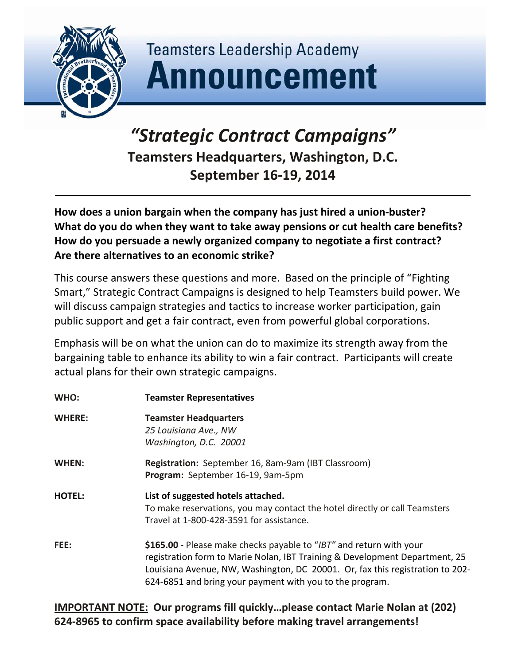

## **Teamsters Leadership Academy Announcement**

## *"Strategic Contract Campaigns"* **Teamsters Headquarters, Washington, D.C. September 16‐19, 2014**

**How does a union bargain when the company has just hired a union‐buster? What do you do when they want to take away pensions or cut health care benefits? How do you persuade a newly organized company to negotiate a first contract? Are there alternatives to an economic strike?**

This course answers these questions and more. Based on the principle of "Fighting Smart," Strategic Contract Campaigns is designed to help Teamsters build power. We will discuss campaign strategies and tactics to increase worker participation, gain public support and get a fair contract, even from powerful global corporations.

Emphasis will be on what the union can do to maximize its strength away from the bargaining table to enhance its ability to win a fair contract. Participants will create actual plans for their own strategic campaigns.

| WHO:          | <b>Teamster Representatives</b>                                                                                                                                                                                                                                                                 |  |
|---------------|-------------------------------------------------------------------------------------------------------------------------------------------------------------------------------------------------------------------------------------------------------------------------------------------------|--|
| <b>WHERE:</b> | <b>Teamster Headquarters</b><br>25 Louisiana Ave., NW<br>Washington, D.C. 20001                                                                                                                                                                                                                 |  |
| WHEN:         | Registration: September 16, 8am-9am (IBT Classroom)<br>Program: September 16-19, 9am-5pm                                                                                                                                                                                                        |  |
| <b>HOTEL:</b> | List of suggested hotels attached.<br>To make reservations, you may contact the hotel directly or call Teamsters<br>Travel at 1-800-428-3591 for assistance.                                                                                                                                    |  |
| FEE:          | \$165.00 - Please make checks payable to "IBT" and return with your<br>registration form to Marie Nolan, IBT Training & Development Department, 25<br>Louisiana Avenue, NW, Washington, DC 20001. Or, fax this registration to 202-<br>624-6851 and bring your payment with you to the program. |  |

**IMPORTANT NOTE: Our programs fill quickly…please contact Marie Nolan at (202) 624‐8965 to confirm space availability before making travel arrangements!**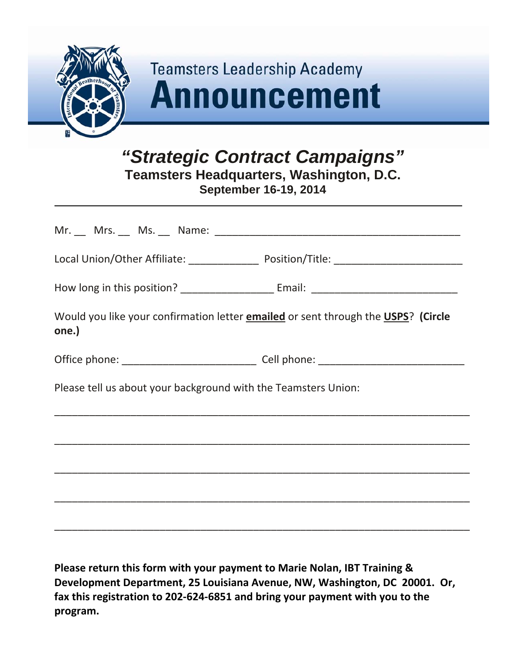

## **Teamsters Leadership Academy Announcement**

*"Strategic Contract Campaigns"*  **Teamsters Headquarters, Washington, D.C.** 

**September 16-19, 2014** 

| Would you like your confirmation letter <b>emailed</b> or sent through the <b>USPS</b> ? (Circle<br>one.) |                                                                                                                       |  |  |
|-----------------------------------------------------------------------------------------------------------|-----------------------------------------------------------------------------------------------------------------------|--|--|
|                                                                                                           |                                                                                                                       |  |  |
| Please tell us about your background with the Teamsters Union:                                            |                                                                                                                       |  |  |
|                                                                                                           |                                                                                                                       |  |  |
|                                                                                                           |                                                                                                                       |  |  |
|                                                                                                           | <u> 1989 - Johann Harry Harry Harry Harry Harry Harry Harry Harry Harry Harry Harry Harry Harry Harry Harry Harry</u> |  |  |
|                                                                                                           |                                                                                                                       |  |  |
|                                                                                                           |                                                                                                                       |  |  |

**Please return this form with your payment to Marie Nolan, IBT Training & Development Department, 25 Louisiana Avenue, NW, Washington, DC 20001. Or, fax this registration to 202‐624‐6851 and bring your payment with you to the program.**